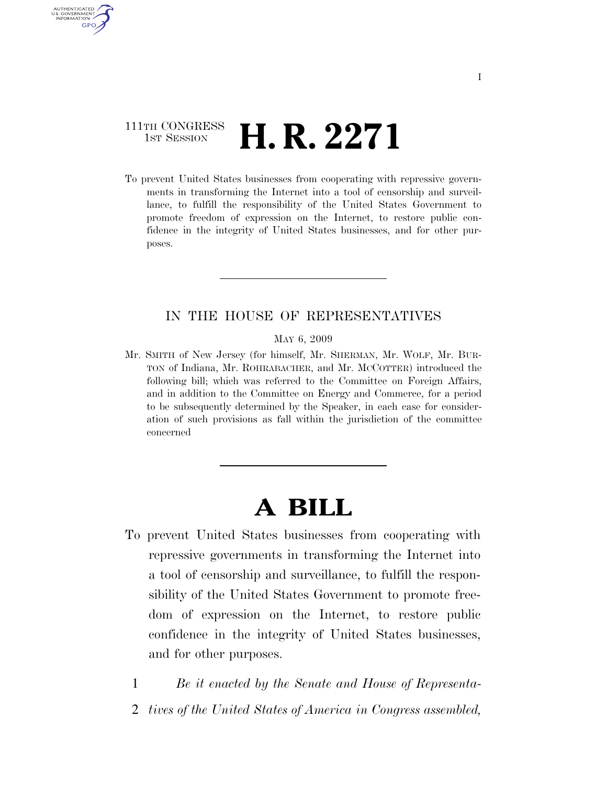### 111TH CONGRESS **1st Session H. R. 2271**

AUTHENTICATED U.S. GOVERNMENT GPO

> To prevent United States businesses from cooperating with repressive governments in transforming the Internet into a tool of censorship and surveillance, to fulfill the responsibility of the United States Government to promote freedom of expression on the Internet, to restore public confidence in the integrity of United States businesses, and for other purposes.

### IN THE HOUSE OF REPRESENTATIVES

MAY 6, 2009

Mr. SMITH of New Jersey (for himself, Mr. SHERMAN, Mr. WOLF, Mr. BUR-TON of Indiana, Mr. ROHRABACHER, and Mr. MCCOTTER) introduced the following bill; which was referred to the Committee on Foreign Affairs, and in addition to the Committee on Energy and Commerce, for a period to be subsequently determined by the Speaker, in each case for consideration of such provisions as fall within the jurisdiction of the committee concerned

# **A BILL**

- To prevent United States businesses from cooperating with repressive governments in transforming the Internet into a tool of censorship and surveillance, to fulfill the responsibility of the United States Government to promote freedom of expression on the Internet, to restore public confidence in the integrity of United States businesses, and for other purposes.
	- 1 *Be it enacted by the Senate and House of Representa-*2 *tives of the United States of America in Congress assembled,*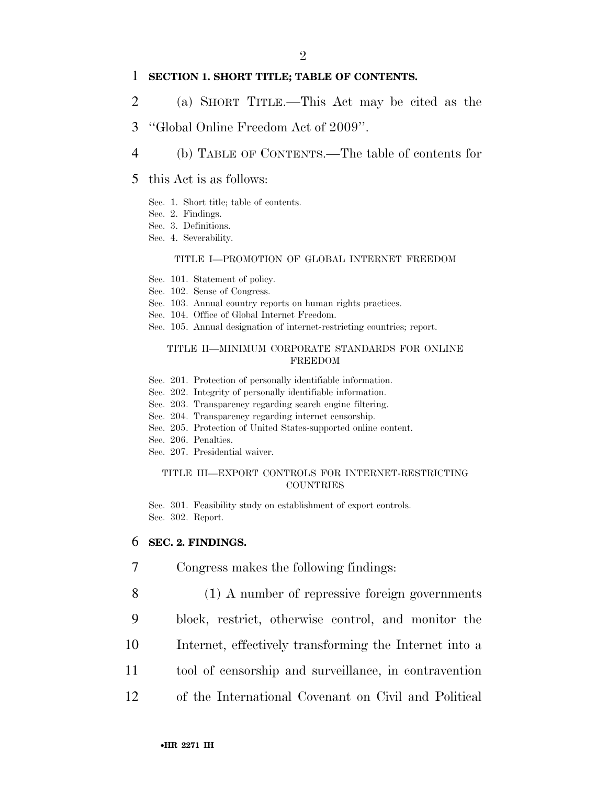### 1 **SECTION 1. SHORT TITLE; TABLE OF CONTENTS.**

- 2 (a) SHORT TITLE.—This Act may be cited as the
- 3 ''Global Online Freedom Act of 2009''.
- 4 (b) TABLE OF CONTENTS.—The table of contents for
- 5 this Act is as follows:
	- Sec. 1. Short title; table of contents.
	- Sec. 2. Findings.
	- Sec. 3. Definitions.
	- Sec. 4. Severability.

#### TITLE I—PROMOTION OF GLOBAL INTERNET FREEDOM

- Sec. 101. Statement of policy.
- Sec. 102. Sense of Congress.
- Sec. 103. Annual country reports on human rights practices.
- Sec. 104. Office of Global Internet Freedom.
- Sec. 105. Annual designation of internet-restricting countries; report.

#### TITLE II—MINIMUM CORPORATE STANDARDS FOR ONLINE FREEDOM

- Sec. 201. Protection of personally identifiable information.
- Sec. 202. Integrity of personally identifiable information.
- Sec. 203. Transparency regarding search engine filtering.
- Sec. 204. Transparency regarding internet censorship.
- Sec. 205. Protection of United States-supported online content.
- Sec. 206. Penalties.
- Sec. 207. Presidential waiver.

#### TITLE III—EXPORT CONTROLS FOR INTERNET-RESTRICTING **COUNTRIES**

Sec. 301. Feasibility study on establishment of export controls. Sec. 302. Report.

### 6 **SEC. 2. FINDINGS.**

- 7 Congress makes the following findings:
- 8 (1) A number of repressive foreign governments
- 9 block, restrict, otherwise control, and monitor the
- 10 Internet, effectively transforming the Internet into a
- 11 tool of censorship and surveillance, in contravention
- 12 of the International Covenant on Civil and Political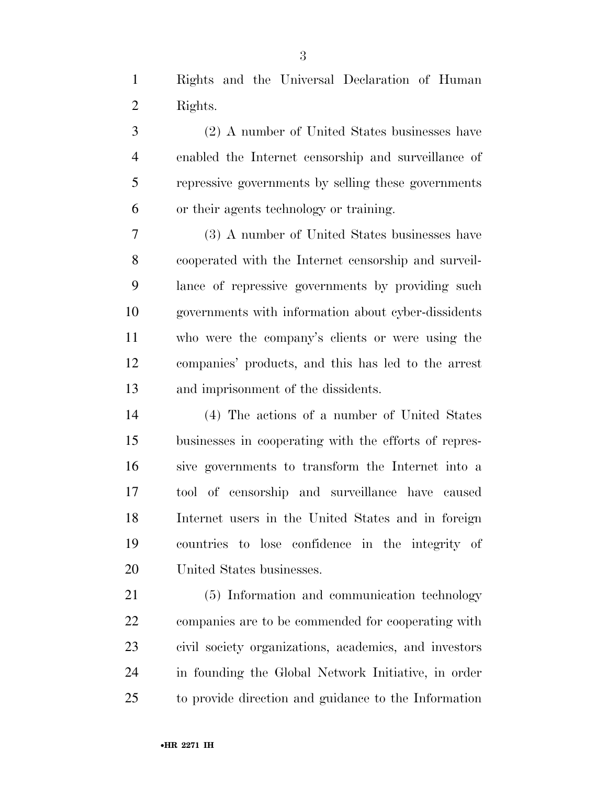Rights and the Universal Declaration of Human Rights.

 (2) A number of United States businesses have enabled the Internet censorship and surveillance of repressive governments by selling these governments or their agents technology or training.

 (3) A number of United States businesses have cooperated with the Internet censorship and surveil- lance of repressive governments by providing such governments with information about cyber-dissidents who were the company's clients or were using the companies' products, and this has led to the arrest and imprisonment of the dissidents.

 (4) The actions of a number of United States businesses in cooperating with the efforts of repres- sive governments to transform the Internet into a tool of censorship and surveillance have caused Internet users in the United States and in foreign countries to lose confidence in the integrity of United States businesses.

 (5) Information and communication technology companies are to be commended for cooperating with civil society organizations, academics, and investors in founding the Global Network Initiative, in order to provide direction and guidance to the Information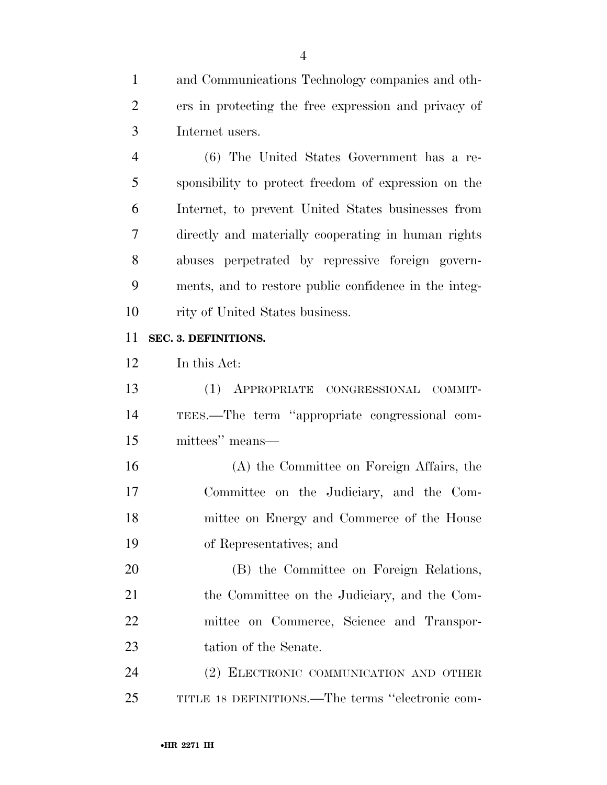and Communications Technology companies and oth- ers in protecting the free expression and privacy of Internet users.

 (6) The United States Government has a re- sponsibility to protect freedom of expression on the Internet, to prevent United States businesses from directly and materially cooperating in human rights abuses perpetrated by repressive foreign govern- ments, and to restore public confidence in the integ-10 rity of United States business.

### **SEC. 3. DEFINITIONS.**

In this Act:

 (1) APPROPRIATE CONGRESSIONAL COMMIT- TEES.—The term ''appropriate congressional com-mittees'' means—

 (A) the Committee on Foreign Affairs, the Committee on the Judiciary, and the Com- mittee on Energy and Commerce of the House of Representatives; and

 (B) the Committee on Foreign Relations, the Committee on the Judiciary, and the Com- mittee on Commerce, Science and Transpor-tation of the Senate.

 (2) ELECTRONIC COMMUNICATION AND OTHER TITLE 18 DEFINITIONS.—The terms ''electronic com-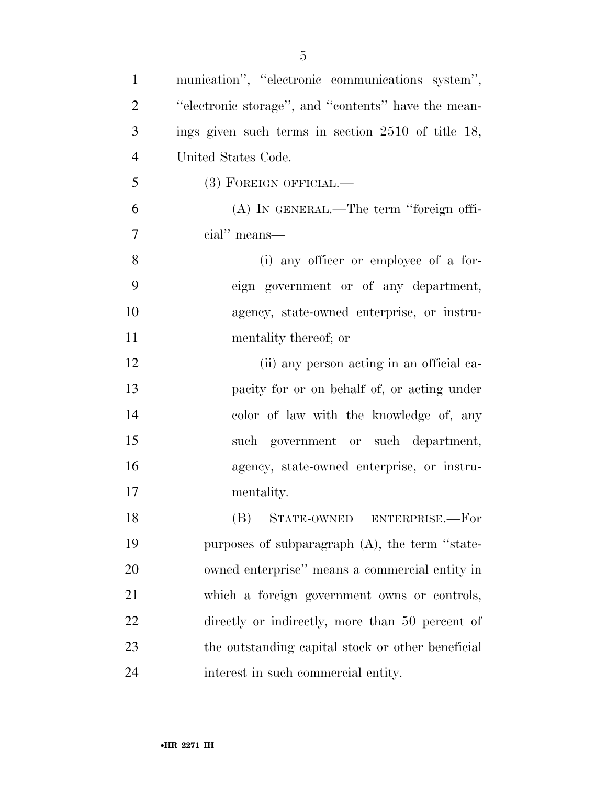| $\mathbf{1}$   | munication", "electronic communications system",     |
|----------------|------------------------------------------------------|
| $\overline{2}$ | "electronic storage", and "contents" have the mean-  |
| 3              | ings given such terms in section $2510$ of title 18, |
| $\overline{4}$ | United States Code.                                  |
| 5              | $(3)$ FOREIGN OFFICIAL.—                             |
| 6              | (A) IN GENERAL.—The term "foreign offi-              |
| 7              | cial" means—                                         |
| 8              | (i) any officer or employee of a for-                |
| 9              | eign government or of any department,                |
| 10             | agency, state-owned enterprise, or instru-           |
| 11             | mentality thereof; or                                |
| 12             | (ii) any person acting in an official ca-            |
| 13             | pacity for or on behalf of, or acting under          |
| 14             | color of law with the knowledge of, any              |
| 15             | such government or such department,                  |
| 16             | agency, state-owned enterprise, or instru-           |
| 17             | mentality.                                           |
| 18             | (B) STATE-OWNED ENTERPRISE.-For                      |
| 19             | purposes of subparagraph (A), the term "state-       |
| 20             | owned enterprise" means a commercial entity in       |
| 21             | which a foreign government owns or controls,         |
| 22             | directly or indirectly, more than 50 percent of      |
| 23             | the outstanding capital stock or other beneficial    |
| 24             | interest in such commercial entity.                  |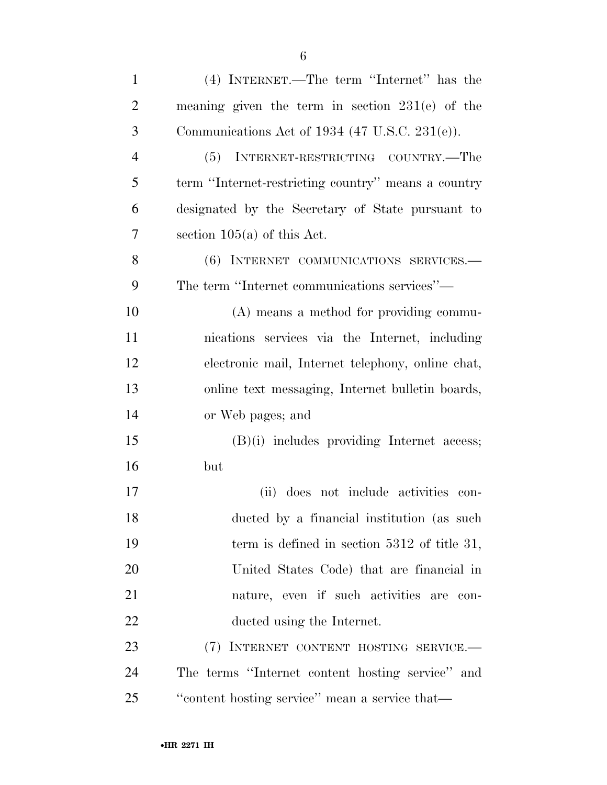| $\mathbf{1}$   | (4) INTERNET.—The term "Internet" has the           |
|----------------|-----------------------------------------------------|
| $\overline{2}$ | meaning given the term in section $231(e)$ of the   |
| 3              | Communications Act of 1934 (47 U.S.C. 231(e)).      |
| $\overline{4}$ | (5) INTERNET-RESTRICTING COUNTRY.—The               |
| 5              | term "Internet-restricting country" means a country |
| 6              | designated by the Secretary of State pursuant to    |
| 7              | section $105(a)$ of this Act.                       |
| 8              | (6) INTERNET COMMUNICATIONS SERVICES.               |
| 9              | The term "Internet communications services"—        |
| 10             | (A) means a method for providing commu-             |
| 11             | nications services via the Internet, including      |
| 12             | electronic mail, Internet telephony, online chat,   |
| 13             | online text messaging, Internet bulletin boards,    |
| 14             | or Web pages; and                                   |
| 15             | $(B)(i)$ includes providing Internet access;        |
| 16             | but                                                 |
| 17             | (ii) does not include activities con-               |
| 18             | ducted by a financial institution (as such          |
| 19             | term is defined in section $5312$ of title 31,      |
| 20             | United States Code) that are financial in           |
| 21             | nature, even if such activities are con-            |
| <u>22</u>      | ducted using the Internet.                          |
| 23             | (7) INTERNET CONTENT HOSTING SERVICE.               |
| 24             | The terms "Internet content hosting service" and    |
| 25             | "content hosting service" mean a service that-      |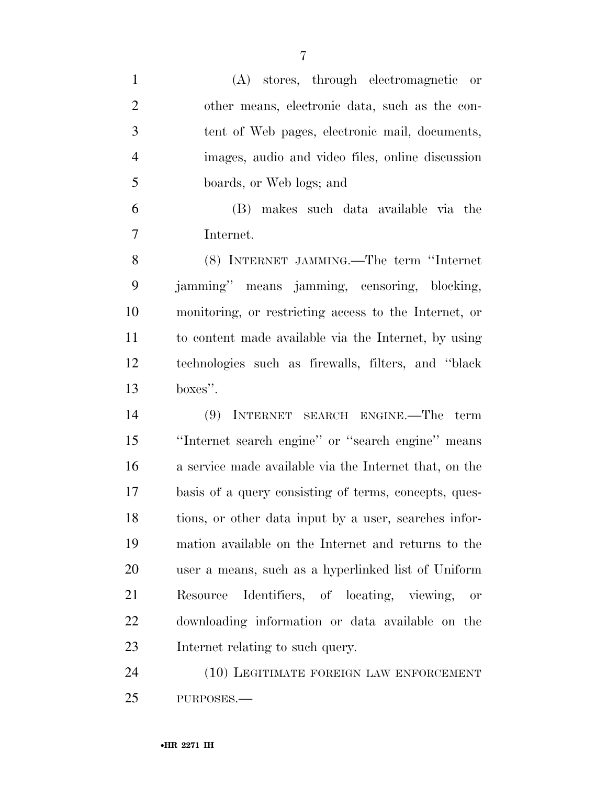(A) stores, through electromagnetic or other means, electronic data, such as the con- tent of Web pages, electronic mail, documents, images, audio and video files, online discussion boards, or Web logs; and (B) makes such data available via the Internet. (8) INTERNET JAMMING.—The term ''Internet jamming'' means jamming, censoring, blocking, monitoring, or restricting access to the Internet, or

 to content made available via the Internet, by using technologies such as firewalls, filters, and ''black boxes''.

 (9) INTERNET SEARCH ENGINE.—The term ''Internet search engine'' or ''search engine'' means a service made available via the Internet that, on the basis of a query consisting of terms, concepts, ques- tions, or other data input by a user, searches infor- mation available on the Internet and returns to the user a means, such as a hyperlinked list of Uniform Resource Identifiers, of locating, viewing, or downloading information or data available on the Internet relating to such query.

 (10) LEGITIMATE FOREIGN LAW ENFORCEMENT PURPOSES.—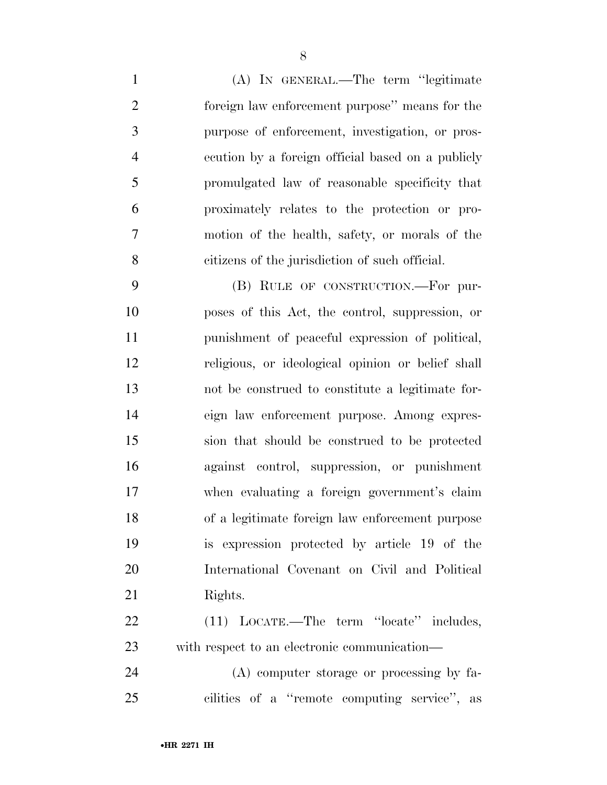(A) IN GENERAL.—The term ''legitimate foreign law enforcement purpose'' means for the purpose of enforcement, investigation, or pros- ecution by a foreign official based on a publicly promulgated law of reasonable specificity that proximately relates to the protection or pro- motion of the health, safety, or morals of the citizens of the jurisdiction of such official.

 (B) RULE OF CONSTRUCTION.—For pur- poses of this Act, the control, suppression, or punishment of peaceful expression of political, religious, or ideological opinion or belief shall not be construed to constitute a legitimate for- eign law enforcement purpose. Among expres- sion that should be construed to be protected against control, suppression, or punishment when evaluating a foreign government's claim of a legitimate foreign law enforcement purpose is expression protected by article 19 of the International Covenant on Civil and Political 21 Rights.

 (11) LOCATE.—The term ''locate'' includes, with respect to an electronic communication—

 (A) computer storage or processing by fa-cilities of a ''remote computing service'', as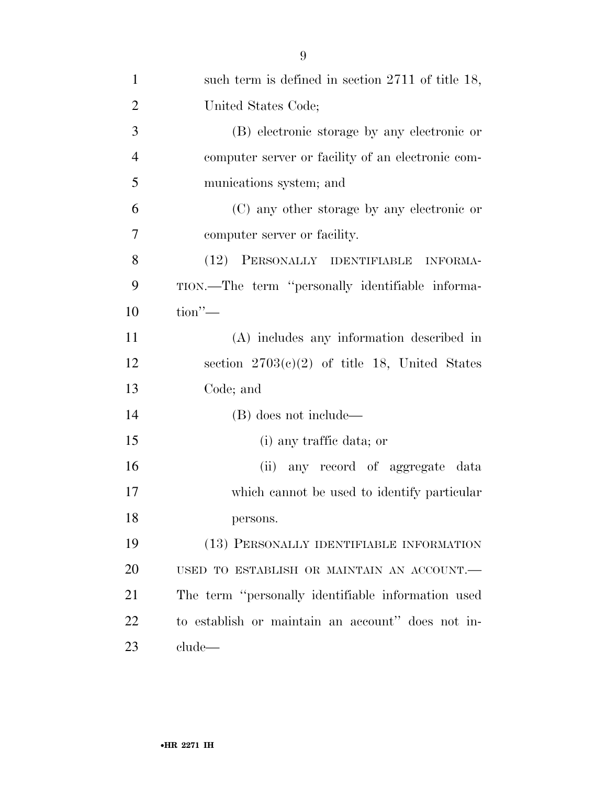| $\mathbf{1}$   | such term is defined in section $2711$ of title 18, |
|----------------|-----------------------------------------------------|
| $\overline{2}$ | United States Code;                                 |
| 3              | (B) electronic storage by any electronic or         |
| $\overline{4}$ | computer server or facility of an electronic com-   |
| 5              | munications system; and                             |
| 6              | (C) any other storage by any electronic or          |
| 7              | computer server or facility.                        |
| 8              | (12) PERSONALLY IDENTIFIABLE INFORMA-               |
| 9              | TION.—The term "personally identifiable informa-    |
| 10             | $\text{tion}$ "—                                    |
| 11             | (A) includes any information described in           |
| 12             | section $2703(e)(2)$ of title 18, United States     |
| 13             | Code; and                                           |
| 14             | (B) does not include—                               |
| 15             | (i) any traffic data; or                            |
| 16             | any record of aggregate data<br>(ii)                |
| 17             | which cannot be used to identify particular         |
| 18             | persons.                                            |
| 19             | (13) PERSONALLY IDENTIFIABLE INFORMATION            |
| 20             | USED TO ESTABLISH OR MAINTAIN AN ACCOUNT.           |
| 21             | The term "personally identifiable information used  |
| 22             | to establish or maintain an account" does not in-   |
| 23             | clude                                               |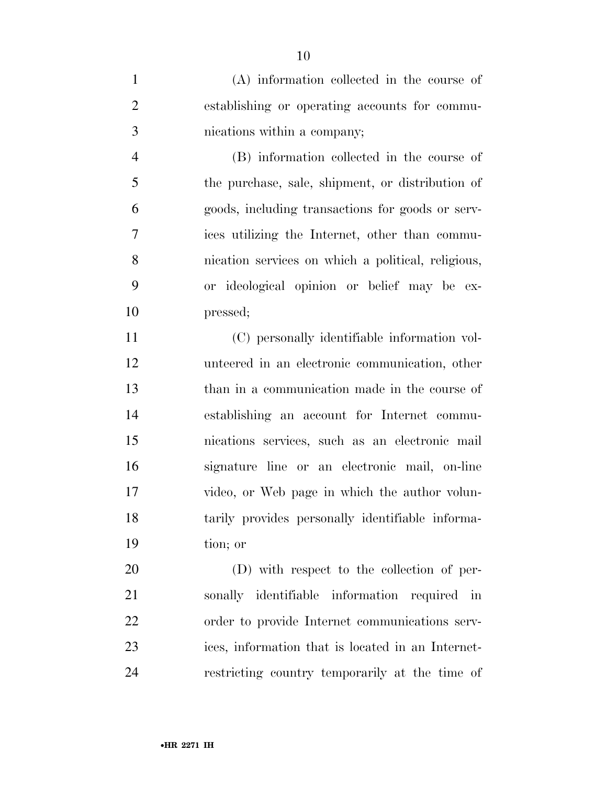(A) information collected in the course of establishing or operating accounts for commu-nications within a company;

 (B) information collected in the course of the purchase, sale, shipment, or distribution of goods, including transactions for goods or serv- ices utilizing the Internet, other than commu- nication services on which a political, religious, or ideological opinion or belief may be ex-pressed;

 (C) personally identifiable information vol- unteered in an electronic communication, other than in a communication made in the course of establishing an account for Internet commu- nications services, such as an electronic mail signature line or an electronic mail, on-line video, or Web page in which the author volun- tarily provides personally identifiable informa-tion; or

 (D) with respect to the collection of per- sonally identifiable information required in order to provide Internet communications serv- ices, information that is located in an Internet-restricting country temporarily at the time of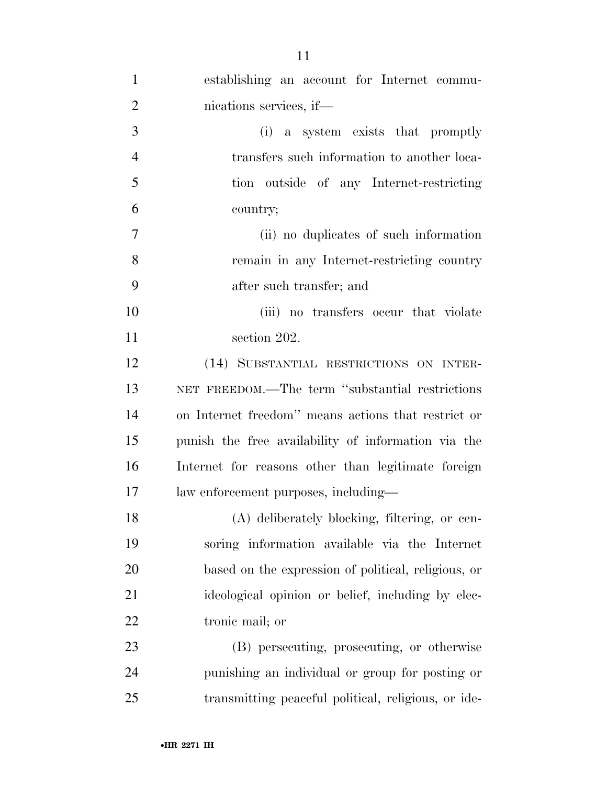| $\mathbf{1}$   | establishing an account for Internet commu-         |
|----------------|-----------------------------------------------------|
| $\overline{2}$ | nications services, if—                             |
| 3              | (i) a system exists that promptly                   |
| $\overline{4}$ | transfers such information to another loca-         |
| 5              | tion outside of any Internet-restricting            |
| 6              | country;                                            |
| 7              | (ii) no duplicates of such information              |
| 8              | remain in any Internet-restricting country          |
| 9              | after such transfer; and                            |
| 10             | (iii) no transfers occur that violate               |
| 11             | section 202.                                        |
| 12             | (14) SUBSTANTIAL RESTRICTIONS ON INTER-             |
| 13             | NET FREEDOM.—The term "substantial restrictions     |
| 14             | on Internet freedom" means actions that restrict or |
| 15             | punish the free availability of information via the |
| 16             | Internet for reasons other than legitimate foreign  |
| 17             | law enforcement purposes, including—                |
| 18             | (A) deliberately blocking, filtering, or cen-       |
| 19             | soring information available via the Internet       |
| 20             | based on the expression of political, religious, or |
| 21             | ideological opinion or belief, including by elec-   |
| 22             | tronic mail; or                                     |
| 23             | (B) persecuting, prosecuting, or otherwise          |
| 24             | punishing an individual or group for posting or     |
| 25             | transmitting peaceful political, religious, or ide- |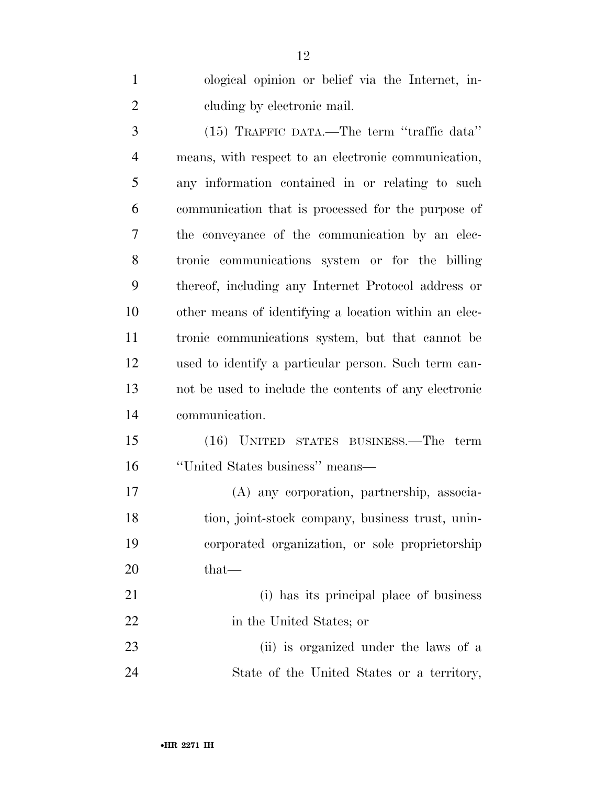ological opinion or belief via the Internet, in- cluding by electronic mail. (15) TRAFFIC DATA.—The term ''traffic data'' means, with respect to an electronic communication, any information contained in or relating to such communication that is processed for the purpose of the conveyance of the communication by an elec- tronic communications system or for the billing thereof, including any Internet Protocol address or other means of identifying a location within an elec- tronic communications system, but that cannot be used to identify a particular person. Such term can- not be used to include the contents of any electronic communication. (16) UNITED STATES BUSINESS.—The term ''United States business'' means— (A) any corporation, partnership, associa- tion, joint-stock company, business trust, unin- corporated organization, or sole proprietorship 20 that— (i) has its principal place of business 22 in the United States; or (ii) is organized under the laws of a

State of the United States or a territory,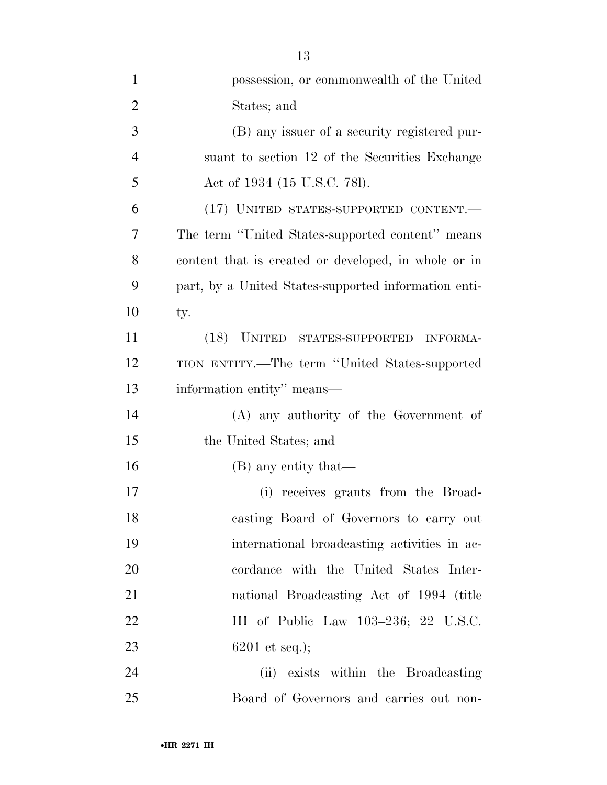| 1              | possession, or commonwealth of the United            |
|----------------|------------------------------------------------------|
| $\overline{2}$ | States; and                                          |
| 3              | (B) any issuer of a security registered pur-         |
| $\overline{4}$ | suant to section 12 of the Securities Exchange       |
| 5              | Act of 1934 (15 U.S.C. 781).                         |
| 6              | (17) UNITED STATES-SUPPORTED CONTENT.-               |
| 7              | The term "United States-supported content" means     |
| 8              | content that is created or developed, in whole or in |
| 9              | part, by a United States-supported information enti- |
| 10             | ty.                                                  |
| 11             | (18) UNITED STATES-SUPPORTED<br>INFORMA-             |
| 12             | TION ENTITY.—The term "United States-supported       |
| 13             | information entity" means—                           |
| 14             | (A) any authority of the Government of               |
| 15             | the United States; and                               |
| 16             | (B) any entity that—                                 |
| 17             | (i) receives grants from the Broad-                  |
| 18             | casting Board of Governors to carry out              |
| 19             | international broadcasting activities in ac-         |
| 20             | cordance with the United States Inter-               |
| 21             | national Broadcasting Act of 1994 (title             |
| 22             | III of Public Law 103-236; 22 U.S.C.                 |
| 23             | $6201$ et seq.);                                     |
| 24             | (ii) exists within the Broadcasting                  |
| 25             | Board of Governors and carries out non-              |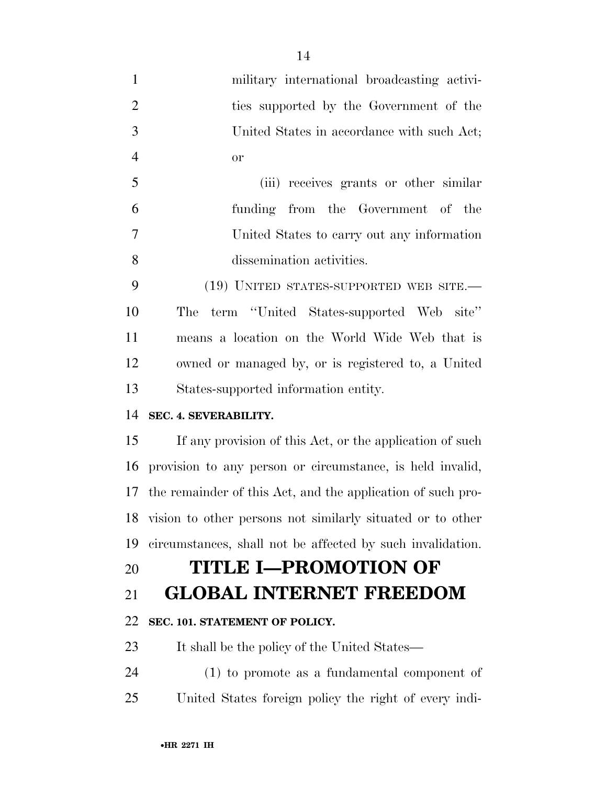| $\mathbf{1}$   | military international broadcasting activi-                    |
|----------------|----------------------------------------------------------------|
| $\overline{2}$ | ties supported by the Government of the                        |
| 3              | United States in accordance with such Act;                     |
| $\overline{4}$ | <b>or</b>                                                      |
| 5              | (iii) receives grants or other similar                         |
| 6              | funding from the Government of the                             |
| 7              | United States to carry out any information                     |
| 8              | dissemination activities.                                      |
| 9              | (19) UNITED STATES-SUPPORTED WEB SITE.—                        |
| 10             | term "United States-supported Web site"<br>The                 |
| 11             | means a location on the World Wide Web that is                 |
| 12             | owned or managed by, or is registered to, a United             |
| 13             | States-supported information entity.                           |
| 14             | SEC. 4. SEVERABILITY.                                          |
| 15             | If any provision of this Act, or the application of such       |
| 16             | provision to any person or circumstance, is held invalid,      |
|                | 17 the remainder of this Act, and the application of such pro- |
| 18             | vision to other persons not similarly situated or to other     |
| 19             | circumstances, shall not be affected by such invalidation.     |
| 20             | <b>TITLE I-PROMOTION OF</b>                                    |
| 21             | <b>GLOBAL INTERNET FREEDOM</b>                                 |
| 22             | SEC. 101. STATEMENT OF POLICY.                                 |
| 23             | It shall be the policy of the United States—                   |
| 24             | $(1)$ to promote as a fundamental component of                 |
|                |                                                                |

United States foreign policy the right of every indi-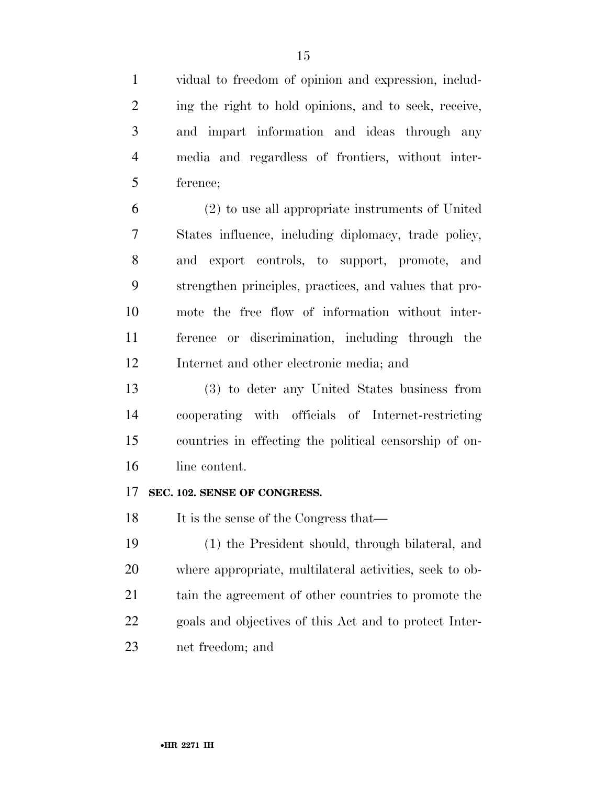vidual to freedom of opinion and expression, includ- ing the right to hold opinions, and to seek, receive, and impart information and ideas through any media and regardless of frontiers, without inter-ference;

 (2) to use all appropriate instruments of United States influence, including diplomacy, trade policy, and export controls, to support, promote, and strengthen principles, practices, and values that pro- mote the free flow of information without inter- ference or discrimination, including through the Internet and other electronic media; and

 (3) to deter any United States business from cooperating with officials of Internet-restricting countries in effecting the political censorship of on-line content.

### **SEC. 102. SENSE OF CONGRESS.**

18 It is the sense of the Congress that—

 (1) the President should, through bilateral, and where appropriate, multilateral activities, seek to ob- tain the agreement of other countries to promote the goals and objectives of this Act and to protect Inter-net freedom; and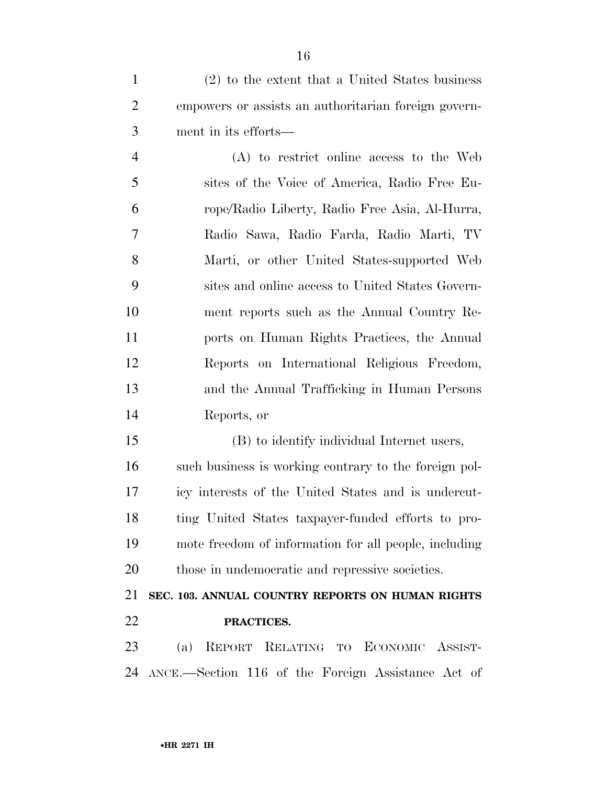(2) to the extent that a United States business empowers or assists an authoritarian foreign govern-ment in its efforts—

 (A) to restrict online access to the Web sites of the Voice of America, Radio Free Eu- rope/Radio Liberty, Radio Free Asia, Al-Hurra, Radio Sawa, Radio Farda, Radio Marti, TV Marti, or other United States-supported Web sites and online access to United States Govern- ment reports such as the Annual Country Re- ports on Human Rights Practices, the Annual Reports on International Religious Freedom, and the Annual Trafficking in Human Persons Reports, or

 (B) to identify individual Internet users, such business is working contrary to the foreign pol- icy interests of the United States and is undercut- ting United States taxpayer-funded efforts to pro- mote freedom of information for all people, including those in undemocratic and repressive societies.

 **SEC. 103. ANNUAL COUNTRY REPORTS ON HUMAN RIGHTS PRACTICES.** 

 (a) REPORT RELATING TO ECONOMIC ASSIST-ANCE.—Section 116 of the Foreign Assistance Act of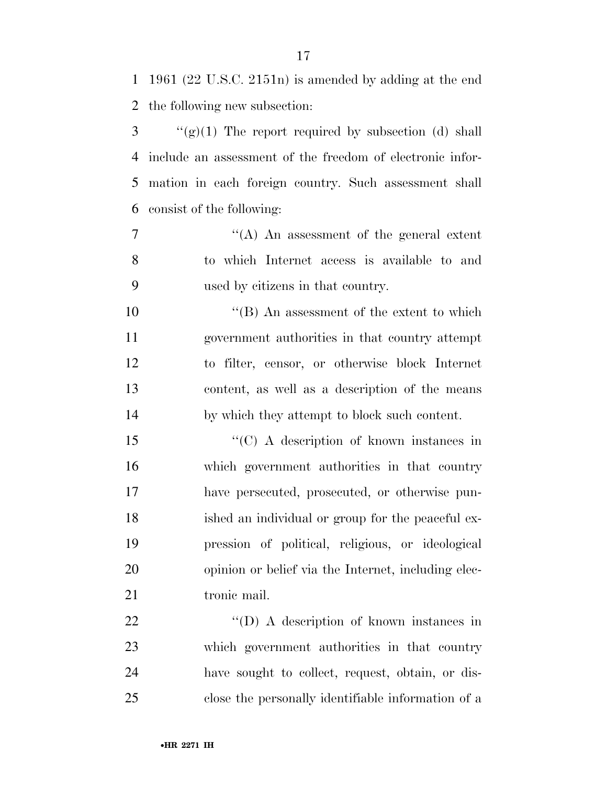1961 (22 U.S.C. 2151n) is amended by adding at the end the following new subsection:

 ''(g)(1) The report required by subsection (d) shall include an assessment of the freedom of electronic infor- mation in each foreign country. Such assessment shall consist of the following:

 ''(A) An assessment of the general extent to which Internet access is available to and used by citizens in that country.

 $\text{``(B)}$  An assessment of the extent to which government authorities in that country attempt to filter, censor, or otherwise block Internet content, as well as a description of the means by which they attempt to block such content.

15 "'(C) A description of known instances in which government authorities in that country have persecuted, prosecuted, or otherwise pun- ished an individual or group for the peaceful ex- pression of political, religious, or ideological opinion or belief via the Internet, including elec-21 tronic mail.

22 "'(D) A description of known instances in which government authorities in that country have sought to collect, request, obtain, or dis-close the personally identifiable information of a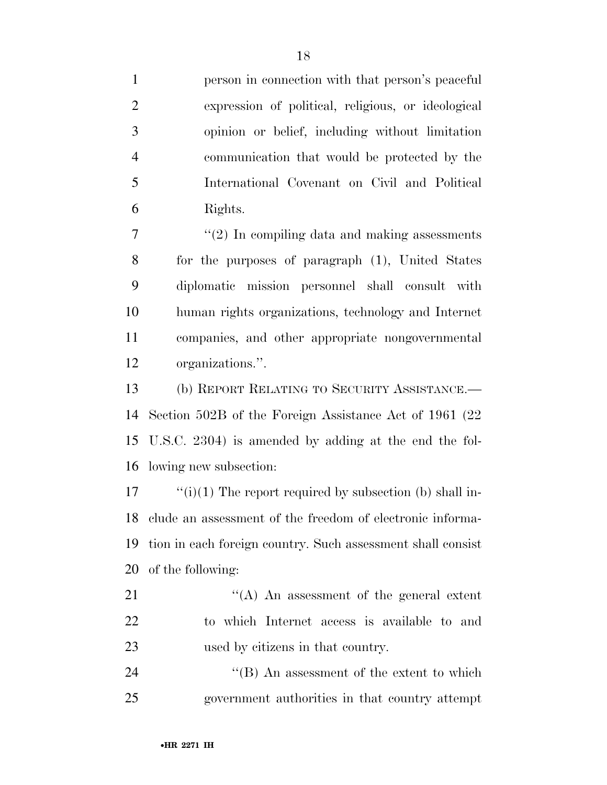person in connection with that person's peaceful expression of political, religious, or ideological opinion or belief, including without limitation communication that would be protected by the International Covenant on Civil and Political Rights.

 $7 \t$  ''(2) In compiling data and making assessments for the purposes of paragraph (1), United States diplomatic mission personnel shall consult with human rights organizations, technology and Internet companies, and other appropriate nongovernmental organizations.''.

 (b) REPORT RELATING TO SECURITY ASSISTANCE.— Section 502B of the Foreign Assistance Act of 1961 (22 U.S.C. 2304) is amended by adding at the end the fol-lowing new subsection:

 ''(i)(1) The report required by subsection (b) shall in- clude an assessment of the freedom of electronic informa- tion in each foreign country. Such assessment shall consist of the following:

21 ''(A) An assessment of the general extent to which Internet access is available to and used by citizens in that country.

24 ''(B) An assessment of the extent to which government authorities in that country attempt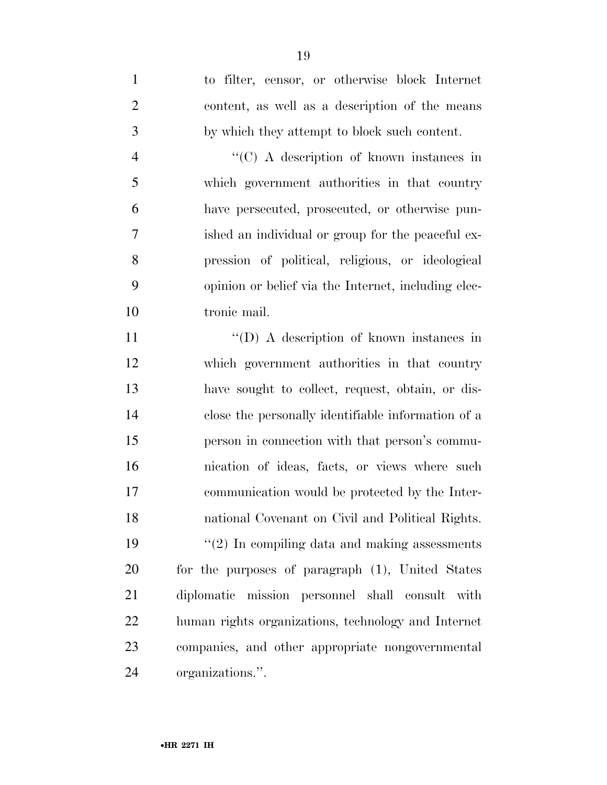to filter, censor, or otherwise block Internet content, as well as a description of the means by which they attempt to block such content. ''(C) A description of known instances in which government authorities in that country have persecuted, prosecuted, or otherwise pun- ished an individual or group for the peaceful ex- pression of political, religious, or ideological opinion or belief via the Internet, including elec- tronic mail. 11 "'(D) A description of known instances in which government authorities in that country have sought to collect, request, obtain, or dis- close the personally identifiable information of a person in connection with that person's commu- nication of ideas, facts, or views where such communication would be protected by the Inter- national Covenant on Civil and Political Rights. ''(2) In compiling data and making assessments for the purposes of paragraph (1), United States diplomatic mission personnel shall consult with human rights organizations, technology and Internet companies, and other appropriate nongovernmental organizations.''.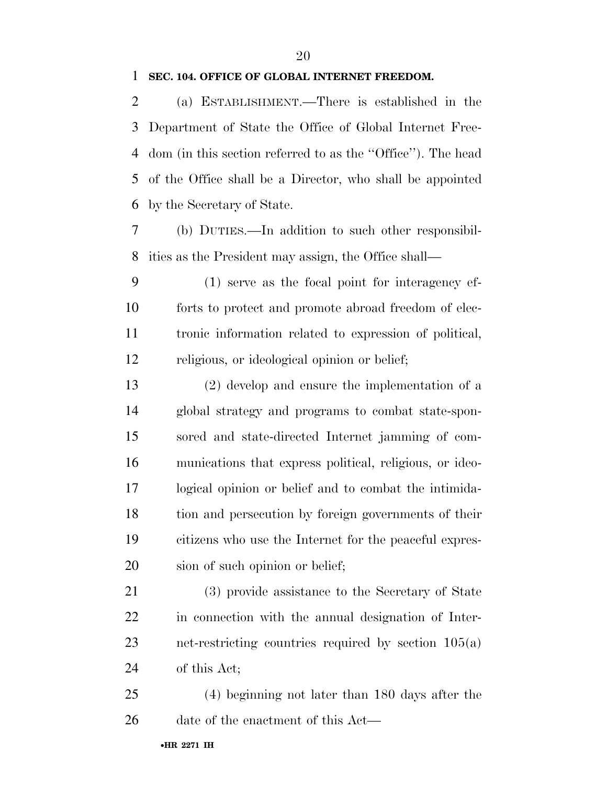### **SEC. 104. OFFICE OF GLOBAL INTERNET FREEDOM.**

 (a) ESTABLISHMENT.—There is established in the Department of State the Office of Global Internet Free- dom (in this section referred to as the ''Office''). The head of the Office shall be a Director, who shall be appointed by the Secretary of State.

 (b) DUTIES.—In addition to such other responsibil-ities as the President may assign, the Office shall—

 (1) serve as the focal point for interagency ef- forts to protect and promote abroad freedom of elec- tronic information related to expression of political, religious, or ideological opinion or belief;

 (2) develop and ensure the implementation of a global strategy and programs to combat state-spon- sored and state-directed Internet jamming of com- munications that express political, religious, or ideo- logical opinion or belief and to combat the intimida- tion and persecution by foreign governments of their citizens who use the Internet for the peaceful expres-sion of such opinion or belief;

 (3) provide assistance to the Secretary of State in connection with the annual designation of Inter- net-restricting countries required by section 105(a) of this Act;

 (4) beginning not later than 180 days after the 26 date of the enactment of this Act—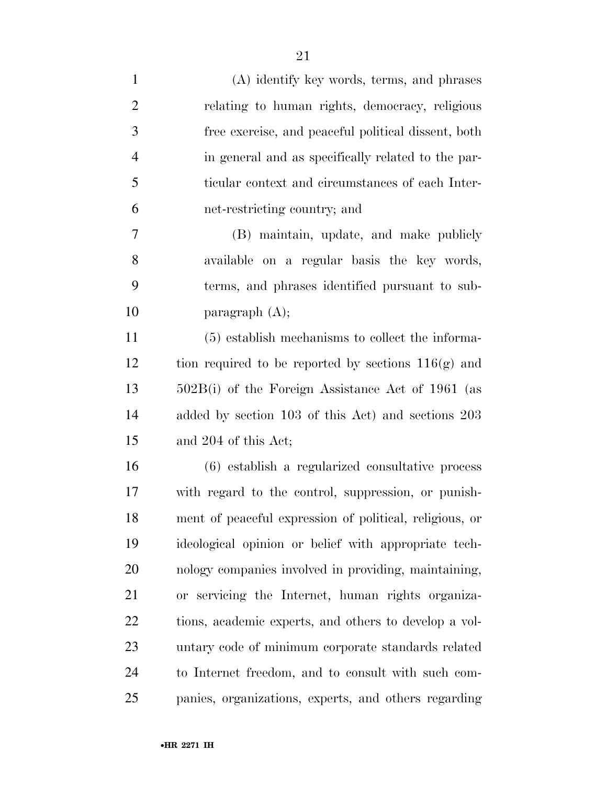| $\mathbf{1}$   | (A) identify key words, terms, and phrases              |
|----------------|---------------------------------------------------------|
| $\overline{2}$ | relating to human rights, democracy, religious          |
| 3              | free exercise, and peaceful political dissent, both     |
| $\overline{4}$ | in general and as specifically related to the par-      |
| 5              | ticular context and circumstances of each Inter-        |
| 6              | net-restricting country; and                            |
| 7              | (B) maintain, update, and make publicly                 |
| 8              | available on a regular basis the key words,             |
| 9              | terms, and phrases identified pursuant to sub-          |
| 10             | paragraph $(A)$ ;                                       |
| 11             | (5) establish mechanisms to collect the informa-        |
| 12             | tion required to be reported by sections $116(g)$ and   |
| 13             | $502B(i)$ of the Foreign Assistance Act of 1961 (as     |
| 14             | added by section 103 of this Act) and sections 203      |
| 15             | and 204 of this Act;                                    |
| 16             | (6) establish a regularized consultative process        |
| 17             | with regard to the control, suppression, or punish-     |
| 18             | ment of peaceful expression of political, religious, or |
| 19             | ideological opinion or belief with appropriate tech-    |
| 20             | nology companies involved in providing, maintaining,    |
| 21             | or servicing the Internet, human rights organiza-       |
| 22             | tions, academic experts, and others to develop a vol-   |
| 23             | untary code of minimum corporate standards related      |
| 24             | to Internet freedom, and to consult with such com-      |
| 25             | panies, organizations, experts, and others regarding    |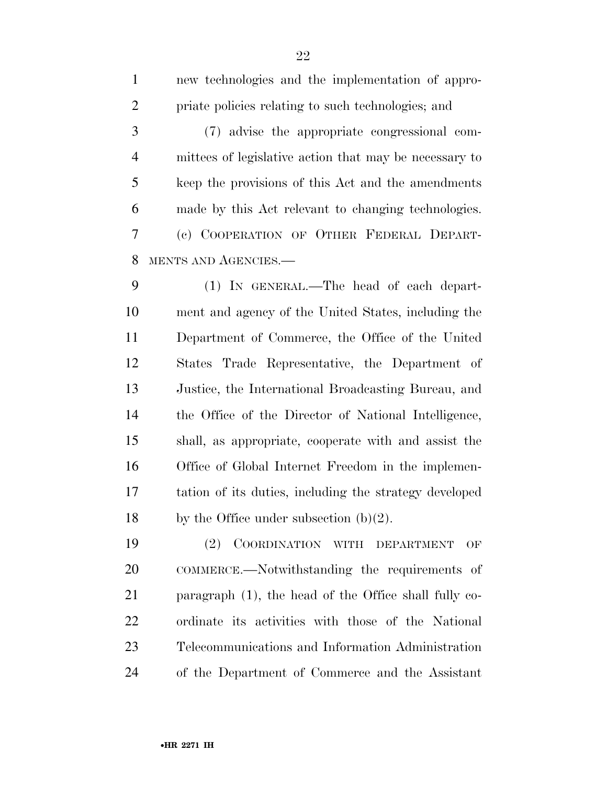| $\mathbf{1}$    | new technologies and the implementation of appro-      |
|-----------------|--------------------------------------------------------|
| $\overline{2}$  | priate policies relating to such technologies; and     |
| 3               | (7) advise the appropriate congressional com-          |
| $\overline{4}$  | mittees of legislative action that may be necessary to |
| 5               | keep the provisions of this Act and the amendments     |
| 6               | made by this Act relevant to changing technologies.    |
| $\overline{7}$  | (c) COOPERATION OF OTHER FEDERAL DEPART-               |
| 8               | MENTS AND AGENCIES.-                                   |
| 9               | (1) IN GENERAL.—The head of each depart-               |
| 10              | ment and agency of the United States, including the    |
| 11              | Department of Commerce, the Office of the United       |
| 12              | States Trade Representative, the Department of         |
| 13              | Justice, the International Broadcasting Bureau, and    |
| 14              | the Office of the Director of National Intelligence,   |
| 15              | shall, as appropriate, cooperate with and assist the   |
| 16              | Office of Global Internet Freedom in the implemen-     |
| 17              | tation of its duties, including the strategy developed |
| 18              | by the Office under subsection $(b)(2)$ .              |
| $\overline{10}$ | $\alpha$ $\alpha$ $\beta$                              |

 (2) COORDINATION WITH DEPARTMENT OF COMMERCE.—Notwithstanding the requirements of paragraph (1), the head of the Office shall fully co- ordinate its activities with those of the National Telecommunications and Information Administration of the Department of Commerce and the Assistant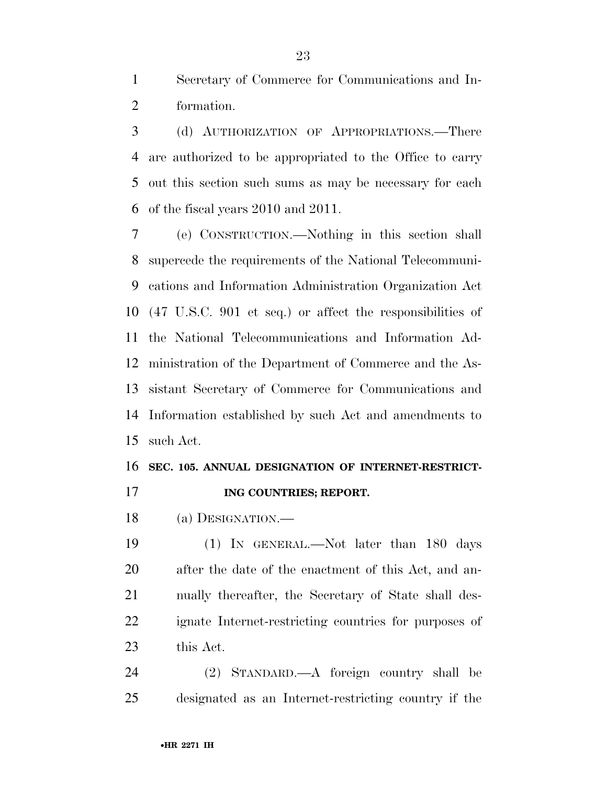Secretary of Commerce for Communications and In-formation.

 (d) AUTHORIZATION OF APPROPRIATIONS.—There are authorized to be appropriated to the Office to carry out this section such sums as may be necessary for each of the fiscal years 2010 and 2011.

 (e) CONSTRUCTION.—Nothing in this section shall supercede the requirements of the National Telecommuni- cations and Information Administration Organization Act (47 U.S.C. 901 et seq.) or affect the responsibilities of the National Telecommunications and Information Ad- ministration of the Department of Commerce and the As- sistant Secretary of Commerce for Communications and Information established by such Act and amendments to such Act.

### **SEC. 105. ANNUAL DESIGNATION OF INTERNET-RESTRICT-**

- **ING COUNTRIES; REPORT.**
- (a) DESIGNATION.—

 (1) IN GENERAL.—Not later than 180 days after the date of the enactment of this Act, and an- nually thereafter, the Secretary of State shall des- ignate Internet-restricting countries for purposes of this Act.

 (2) STANDARD.—A foreign country shall be designated as an Internet-restricting country if the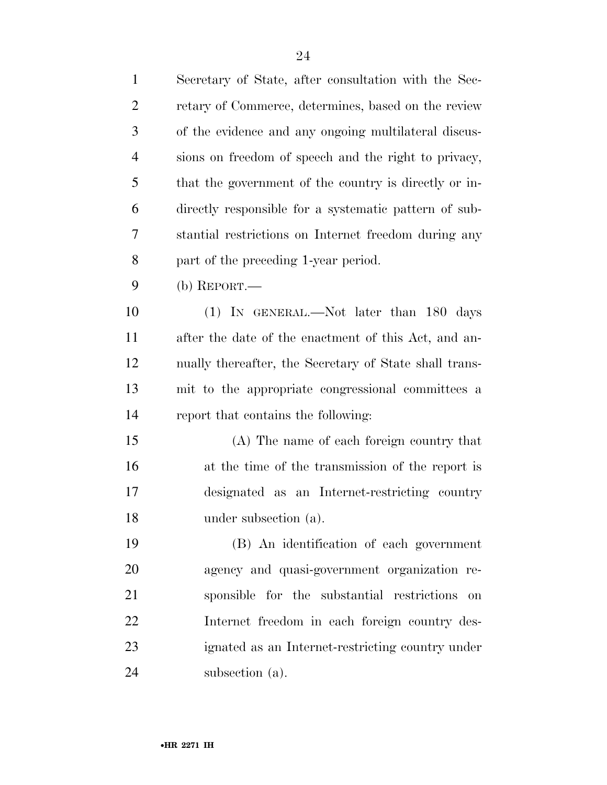| $\mathbf{1}$   | Secretary of State, after consultation with the Sec-   |
|----------------|--------------------------------------------------------|
| $\overline{2}$ | retary of Commerce, determines, based on the review    |
| 3              | of the evidence and any ongoing multilateral discus-   |
| $\overline{4}$ | sions on freedom of speech and the right to privacy,   |
| 5              | that the government of the country is directly or in-  |
| 6              | directly responsible for a systematic pattern of sub-  |
| 7              | stantial restrictions on Internet freedom during any   |
| 8              | part of the preceding 1-year period.                   |
| 9              | (b) $REPORT.$ —                                        |
| 10             | (1) IN GENERAL.—Not later than 180 days                |
| 11             | after the date of the enactment of this Act, and an-   |
| 12             | nually thereafter, the Secretary of State shall trans- |
| 13             | mit to the appropriate congressional committees a      |
| 14             | report that contains the following:                    |
| 15             | (A) The name of each foreign country that              |
| 16             | at the time of the transmission of the report is       |
| 17             | designated as an Internet-restricting country          |
| 18             | under subsection (a).                                  |
| 19             | (B) An identification of each government               |
| 20             | agency and quasi-government organization re-           |
| 21             | sponsible for the substantial restrictions<br>on       |
| 22             | Internet freedom in each foreign country des-          |
| 23             | ignated as an Internet-restricting country under       |
| 24             | subsection (a).                                        |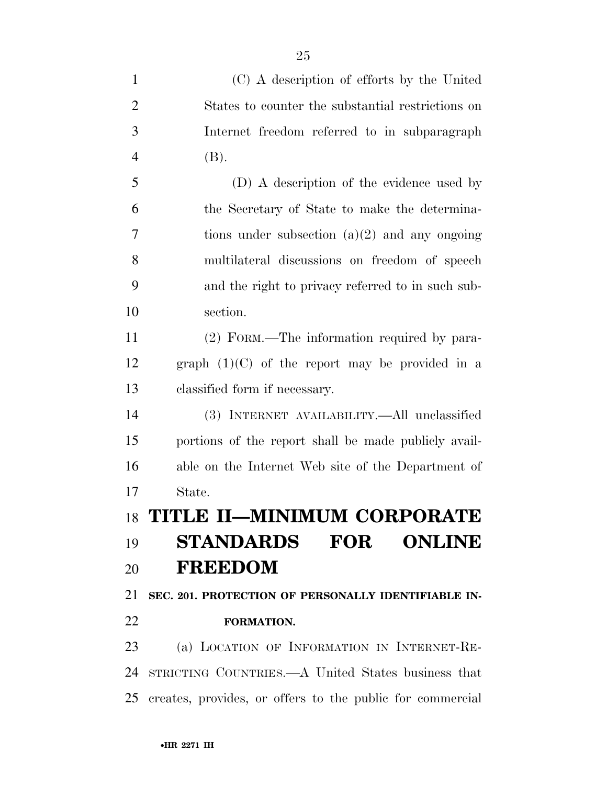| $\mathbf{1}$   | (C) A description of efforts by the United                |
|----------------|-----------------------------------------------------------|
| $\overline{2}$ | States to counter the substantial restrictions on         |
| 3              | Internet freedom referred to in subparagraph              |
| $\overline{4}$ | (B).                                                      |
| 5              | (D) A description of the evidence used by                 |
| 6              | the Secretary of State to make the determina-             |
| 7              | tions under subsection $(a)(2)$ and any ongoing           |
| 8              | multilateral discussions on freedom of speech             |
| 9              | and the right to privacy referred to in such sub-         |
| 10             | section.                                                  |
| 11             | (2) FORM.—The information required by para-               |
| 12             | graph $(1)(C)$ of the report may be provided in a         |
| 13             | classified form if necessary.                             |
| 14             | (3) INTERNET AVAILABILITY.—All unclassified               |
| 15             | portions of the report shall be made publicly avail-      |
| 16             | able on the Internet Web site of the Department of        |
| 17             | State.                                                    |
| 18             | TITLE II—MINIMUM CORPORATE                                |
| 19             | <b>STANDARDS FOR ONLINE</b>                               |
| 20             | <b>FREEDOM</b>                                            |
| 21             | SEC. 201. PROTECTION OF PERSONALLY IDENTIFIABLE IN-       |
| 22             | FORMATION.                                                |
| 23             | (a) LOCATION OF INFORMATION IN INTERNET-RE-               |
| 24             | STRICTING COUNTRIES.—A United States business that        |
| 25             | creates, provides, or offers to the public for commercial |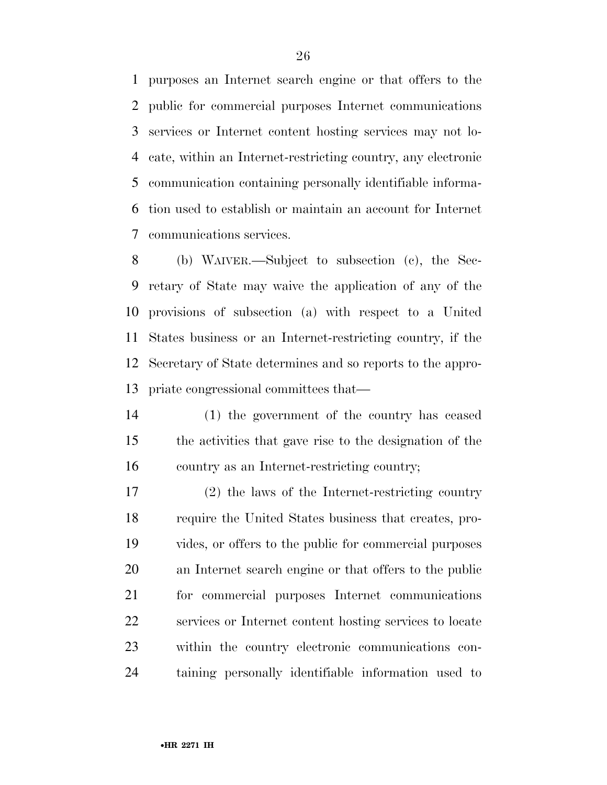purposes an Internet search engine or that offers to the public for commercial purposes Internet communications services or Internet content hosting services may not lo- cate, within an Internet-restricting country, any electronic communication containing personally identifiable informa- tion used to establish or maintain an account for Internet communications services.

 (b) WAIVER.—Subject to subsection (c), the Sec- retary of State may waive the application of any of the provisions of subsection (a) with respect to a United States business or an Internet-restricting country, if the Secretary of State determines and so reports to the appro-priate congressional committees that—

 (1) the government of the country has ceased the activities that gave rise to the designation of the country as an Internet-restricting country;

 (2) the laws of the Internet-restricting country require the United States business that creates, pro- vides, or offers to the public for commercial purposes an Internet search engine or that offers to the public for commercial purposes Internet communications services or Internet content hosting services to locate within the country electronic communications con-taining personally identifiable information used to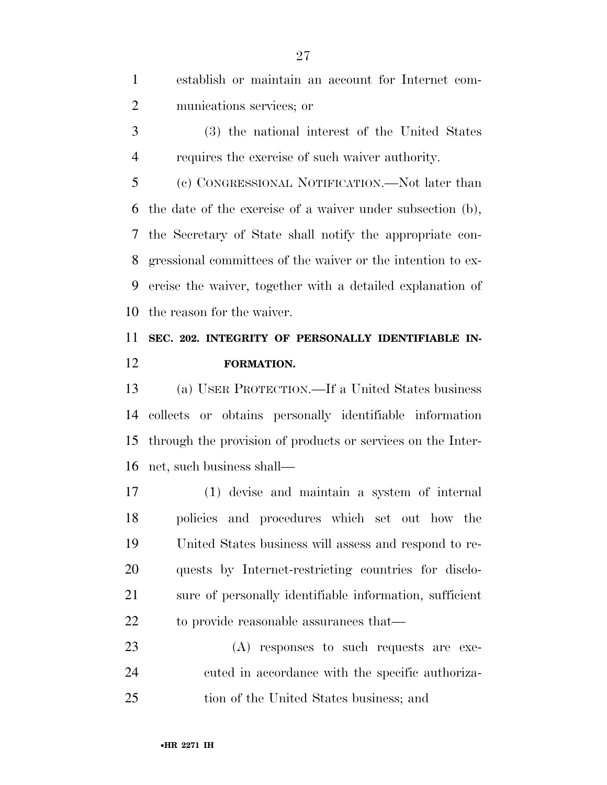establish or maintain an account for Internet com-munications services; or

 (3) the national interest of the United States requires the exercise of such waiver authority.

 (c) CONGRESSIONAL NOTIFICATION.—Not later than the date of the exercise of a waiver under subsection (b), the Secretary of State shall notify the appropriate con- gressional committees of the waiver or the intention to ex- ercise the waiver, together with a detailed explanation of the reason for the waiver.

## **SEC. 202. INTEGRITY OF PERSONALLY IDENTIFIABLE IN-FORMATION.**

 (a) USER PROTECTION.—If a United States business collects or obtains personally identifiable information through the provision of products or services on the Inter-net, such business shall—

 (1) devise and maintain a system of internal policies and procedures which set out how the United States business will assess and respond to re- quests by Internet-restricting countries for disclo- sure of personally identifiable information, sufficient 22 to provide reasonable assurances that—

 (A) responses to such requests are exe- cuted in accordance with the specific authoriza-tion of the United States business; and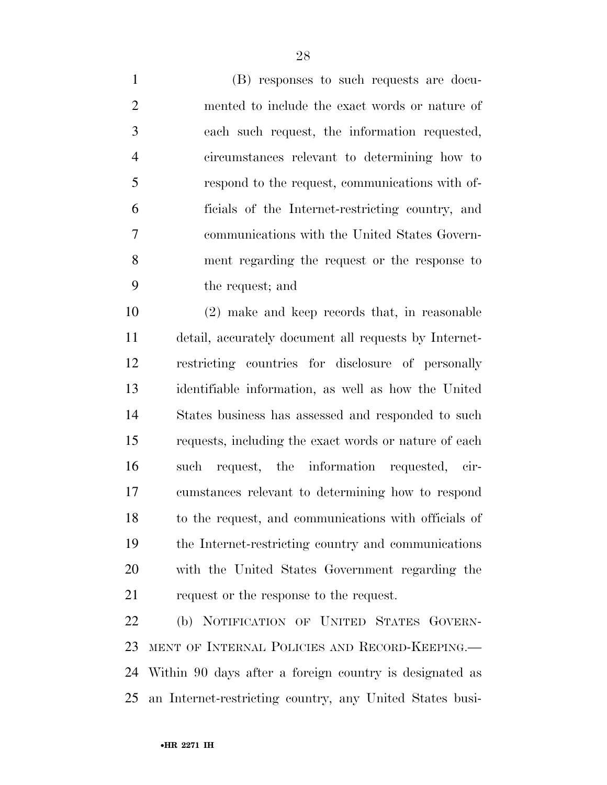(B) responses to such requests are docu- mented to include the exact words or nature of each such request, the information requested, circumstances relevant to determining how to respond to the request, communications with of- ficials of the Internet-restricting country, and communications with the United States Govern- ment regarding the request or the response to the request; and

 (2) make and keep records that, in reasonable detail, accurately document all requests by Internet- restricting countries for disclosure of personally identifiable information, as well as how the United States business has assessed and responded to such requests, including the exact words or nature of each such request, the information requested, cir- cumstances relevant to determining how to respond to the request, and communications with officials of the Internet-restricting country and communications with the United States Government regarding the 21 request or the response to the request.

 (b) NOTIFICATION OF UNITED STATES GOVERN- MENT OF INTERNAL POLICIES AND RECORD-KEEPING.— Within 90 days after a foreign country is designated as an Internet-restricting country, any United States busi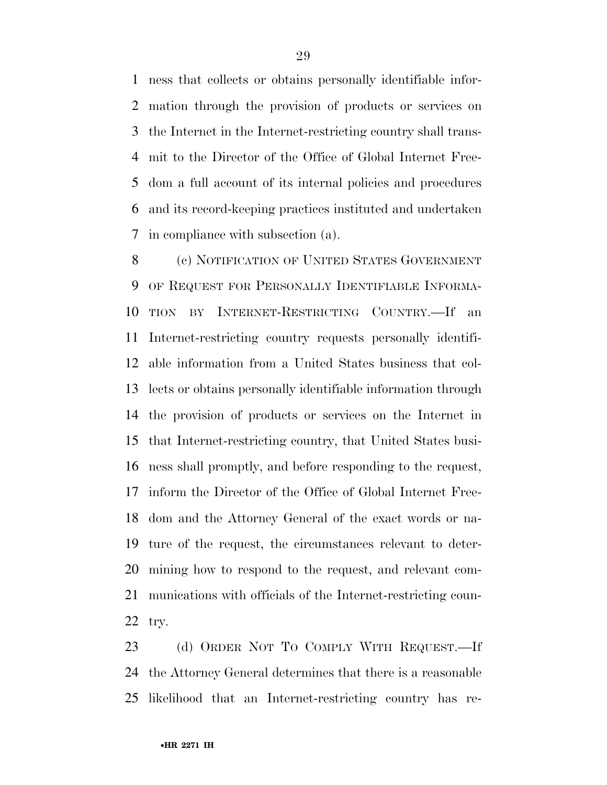ness that collects or obtains personally identifiable infor- mation through the provision of products or services on the Internet in the Internet-restricting country shall trans- mit to the Director of the Office of Global Internet Free- dom a full account of its internal policies and procedures and its record-keeping practices instituted and undertaken in compliance with subsection (a).

 (c) NOTIFICATION OF UNITED STATES GOVERNMENT OF REQUEST FOR PERSONALLY IDENTIFIABLE INFORMA- TION BY INTERNET-RESTRICTING COUNTRY.—If an Internet-restricting country requests personally identifi- able information from a United States business that col- lects or obtains personally identifiable information through the provision of products or services on the Internet in that Internet-restricting country, that United States busi- ness shall promptly, and before responding to the request, inform the Director of the Office of Global Internet Free- dom and the Attorney General of the exact words or na- ture of the request, the circumstances relevant to deter- mining how to respond to the request, and relevant com- munications with officials of the Internet-restricting coun-try.

 (d) ORDER NOT TO COMPLY WITH REQUEST.—If the Attorney General determines that there is a reasonable likelihood that an Internet-restricting country has re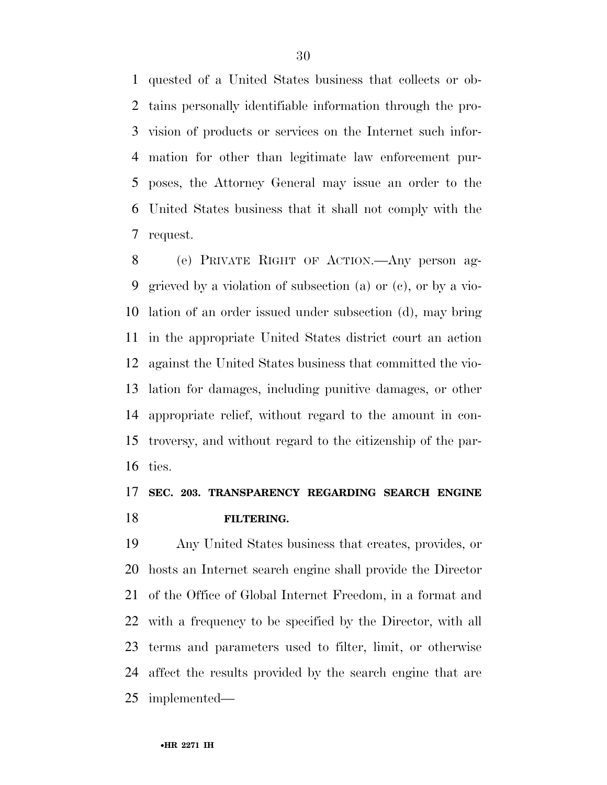quested of a United States business that collects or ob- tains personally identifiable information through the pro- vision of products or services on the Internet such infor- mation for other than legitimate law enforcement pur- poses, the Attorney General may issue an order to the United States business that it shall not comply with the request.

 (e) PRIVATE RIGHT OF ACTION.—Any person ag- grieved by a violation of subsection (a) or (c), or by a vio- lation of an order issued under subsection (d), may bring in the appropriate United States district court an action against the United States business that committed the vio- lation for damages, including punitive damages, or other appropriate relief, without regard to the amount in con- troversy, and without regard to the citizenship of the par-ties.

### **SEC. 203. TRANSPARENCY REGARDING SEARCH ENGINE FILTERING.**

 Any United States business that creates, provides, or hosts an Internet search engine shall provide the Director of the Office of Global Internet Freedom, in a format and with a frequency to be specified by the Director, with all terms and parameters used to filter, limit, or otherwise affect the results provided by the search engine that are implemented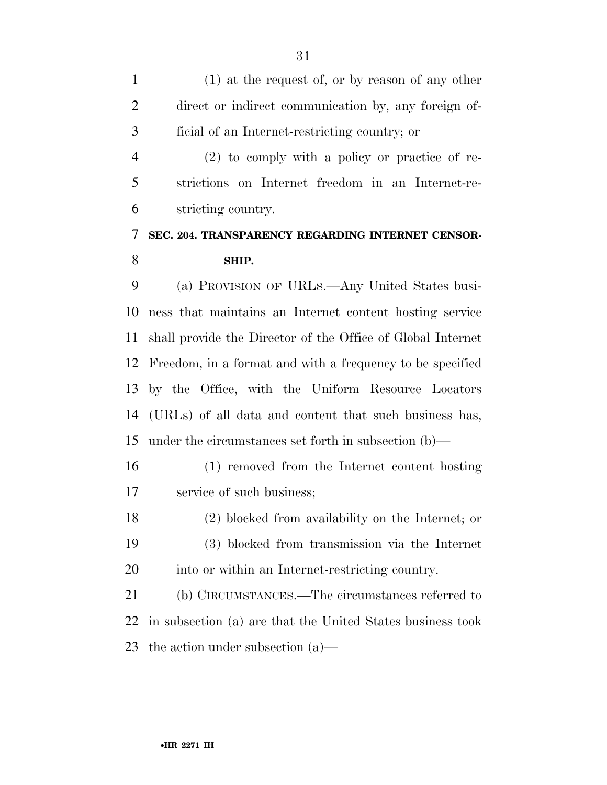(1) at the request of, or by reason of any other direct or indirect communication by, any foreign of-ficial of an Internet-restricting country; or

 (2) to comply with a policy or practice of re- strictions on Internet freedom in an Internet-re-stricting country.

### **SEC. 204. TRANSPARENCY REGARDING INTERNET CENSOR-SHIP.**

 (a) PROVISION OF URLS.—Any United States busi- ness that maintains an Internet content hosting service shall provide the Director of the Office of Global Internet Freedom, in a format and with a frequency to be specified by the Office, with the Uniform Resource Locators (URLs) of all data and content that such business has, under the circumstances set forth in subsection (b)—

 (1) removed from the Internet content hosting service of such business;

 (2) blocked from availability on the Internet; or (3) blocked from transmission via the Internet into or within an Internet-restricting country.

 (b) CIRCUMSTANCES.—The circumstances referred to in subsection (a) are that the United States business took the action under subsection (a)—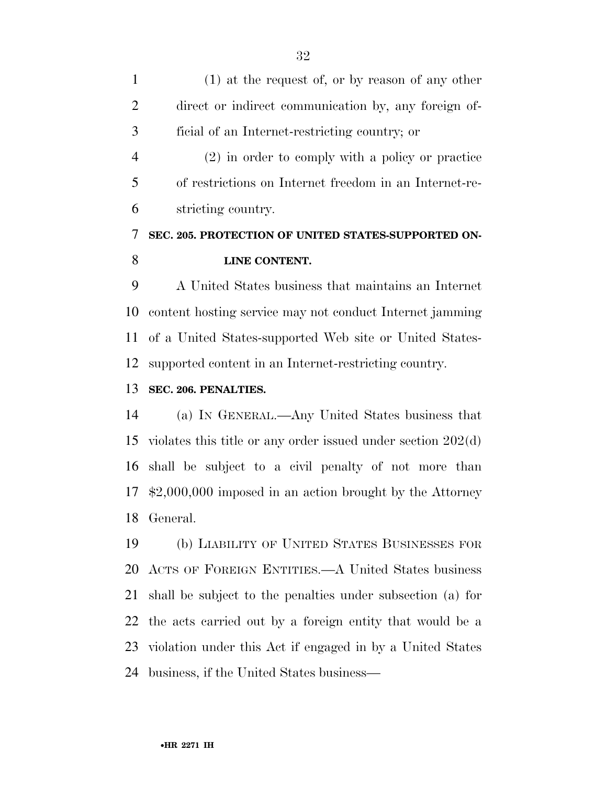(1) at the request of, or by reason of any other direct or indirect communication by, any foreign of-ficial of an Internet-restricting country; or

 (2) in order to comply with a policy or practice of restrictions on Internet freedom in an Internet-re-stricting country.

### **SEC. 205. PROTECTION OF UNITED STATES-SUPPORTED ON-LINE CONTENT.**

 A United States business that maintains an Internet content hosting service may not conduct Internet jamming of a United States-supported Web site or United States-supported content in an Internet-restricting country.

### **SEC. 206. PENALTIES.**

 (a) IN GENERAL.—Any United States business that violates this title or any order issued under section 202(d) shall be subject to a civil penalty of not more than \$2,000,000 imposed in an action brought by the Attorney General.

 (b) LIABILITY OF UNITED STATES BUSINESSES FOR ACTS OF FOREIGN ENTITIES.—A United States business shall be subject to the penalties under subsection (a) for the acts carried out by a foreign entity that would be a violation under this Act if engaged in by a United States business, if the United States business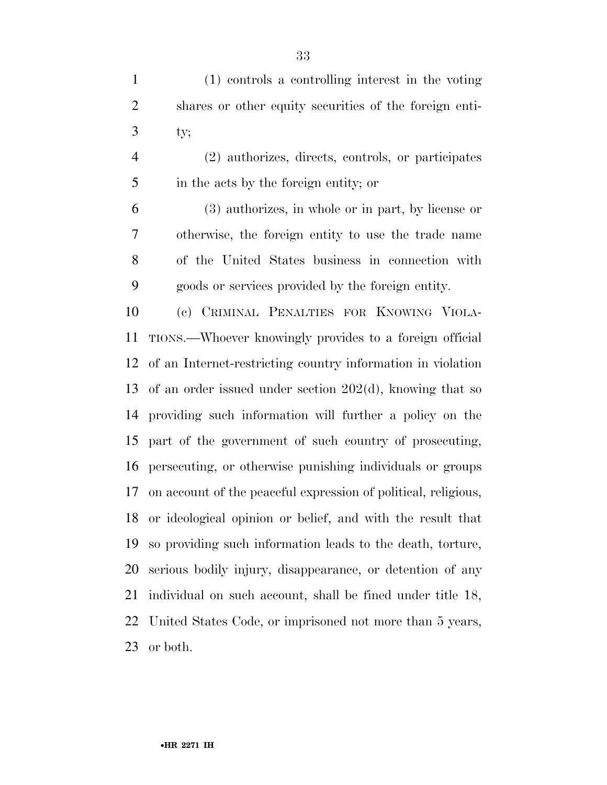(1) controls a controlling interest in the voting shares or other equity securities of the foreign enti-ty;

 (2) authorizes, directs, controls, or participates in the acts by the foreign entity; or

 (3) authorizes, in whole or in part, by license or otherwise, the foreign entity to use the trade name of the United States business in connection with goods or services provided by the foreign entity.

 (c) CRIMINAL PENALTIES FOR KNOWING VIOLA- TIONS.—Whoever knowingly provides to a foreign official of an Internet-restricting country information in violation of an order issued under section 202(d), knowing that so providing such information will further a policy on the part of the government of such country of prosecuting, persecuting, or otherwise punishing individuals or groups on account of the peaceful expression of political, religious, or ideological opinion or belief, and with the result that so providing such information leads to the death, torture, serious bodily injury, disappearance, or detention of any individual on such account, shall be fined under title 18, United States Code, or imprisoned not more than 5 years, or both.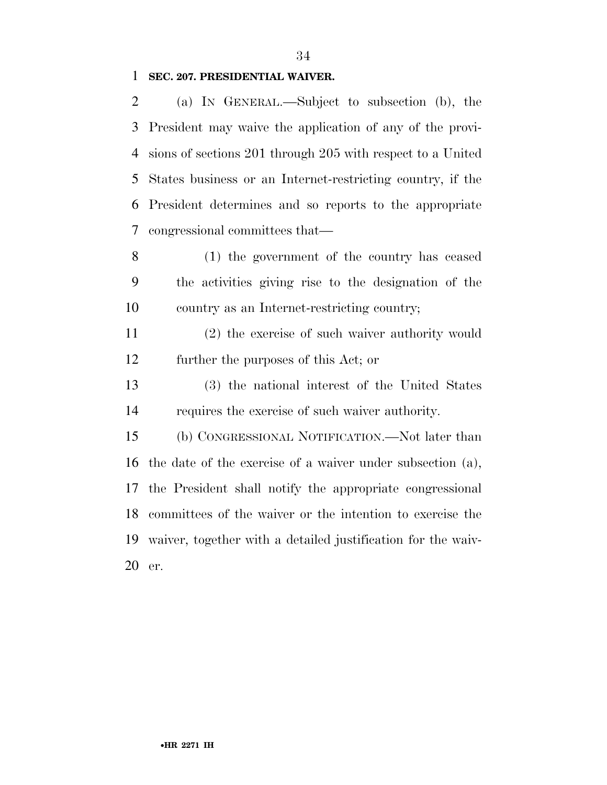### **SEC. 207. PRESIDENTIAL WAIVER.**

 (a) IN GENERAL.—Subject to subsection (b), the President may waive the application of any of the provi- sions of sections 201 through 205 with respect to a United States business or an Internet-restricting country, if the President determines and so reports to the appropriate congressional committees that—

 (1) the government of the country has ceased the activities giving rise to the designation of the country as an Internet-restricting country;

 (2) the exercise of such waiver authority would further the purposes of this Act; or

 (3) the national interest of the United States requires the exercise of such waiver authority.

 (b) CONGRESSIONAL NOTIFICATION.—Not later than the date of the exercise of a waiver under subsection (a), the President shall notify the appropriate congressional committees of the waiver or the intention to exercise the waiver, together with a detailed justification for the waiv-er.